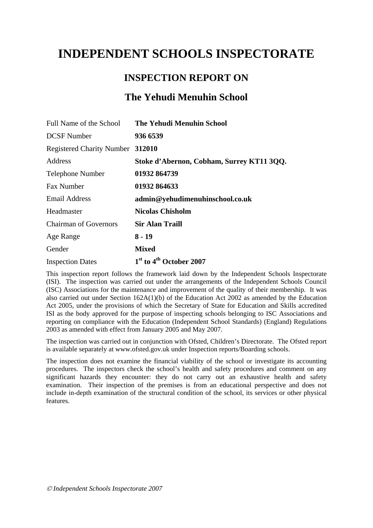# **INDEPENDENT SCHOOLS INSPECTORATE**

# **INSPECTION REPORT ON**

# **The Yehudi Menuhin School**

| Full Name of the School          | <b>The Yehudi Menuhin School</b>                |
|----------------------------------|-------------------------------------------------|
| <b>DCSF</b> Number               | 936 6539                                        |
| Registered Charity Number 312010 |                                                 |
| Address                          | Stoke d'Abernon, Cobham, Surrey KT11 3QQ.       |
| <b>Telephone Number</b>          | 01932 864739                                    |
| <b>Fax Number</b>                | 01932 864633                                    |
| <b>Email Address</b>             | admin@yehudimenuhinschool.co.uk                 |
| Headmaster                       | <b>Nicolas Chisholm</b>                         |
| <b>Chairman of Governors</b>     | <b>Sir Alan Traill</b>                          |
| Age Range                        | $8 - 19$                                        |
| Gender                           | <b>Mixed</b>                                    |
| <b>Inspection Dates</b>          | 1 <sup>st</sup> to 4 <sup>th</sup> October 2007 |

This inspection report follows the framework laid down by the Independent Schools Inspectorate (ISI). The inspection was carried out under the arrangements of the Independent Schools Council (ISC) Associations for the maintenance and improvement of the quality of their membership. It was also carried out under Section 162A(1)(b) of the Education Act 2002 as amended by the Education Act 2005, under the provisions of which the Secretary of State for Education and Skills accredited ISI as the body approved for the purpose of inspecting schools belonging to ISC Associations and reporting on compliance with the Education (Independent School Standards) (England) Regulations 2003 as amended with effect from January 2005 and May 2007.

The inspection was carried out in conjunction with Ofsted, Children's Directorate. The Ofsted report is available separately at [www.ofsted.gov.uk](http://www.ofsted.gov.uk/) under Inspection reports/Boarding schools.

The inspection does not examine the financial viability of the school or investigate its accounting procedures. The inspectors check the school's health and safety procedures and comment on any significant hazards they encounter: they do not carry out an exhaustive health and safety examination. Their inspection of the premises is from an educational perspective and does not include in-depth examination of the structural condition of the school, its services or other physical features.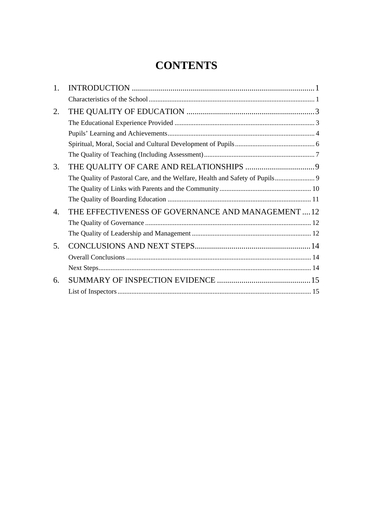# **CONTENTS**

| 1. |                                                    |  |
|----|----------------------------------------------------|--|
|    |                                                    |  |
| 2. |                                                    |  |
|    |                                                    |  |
|    |                                                    |  |
|    |                                                    |  |
|    |                                                    |  |
| 3. |                                                    |  |
|    |                                                    |  |
|    |                                                    |  |
|    |                                                    |  |
| 4. | THE EFFECTIVENESS OF GOVERNANCE AND MANAGEMENT  12 |  |
|    |                                                    |  |
|    |                                                    |  |
| 5. |                                                    |  |
|    |                                                    |  |
|    |                                                    |  |
| 6. |                                                    |  |
|    |                                                    |  |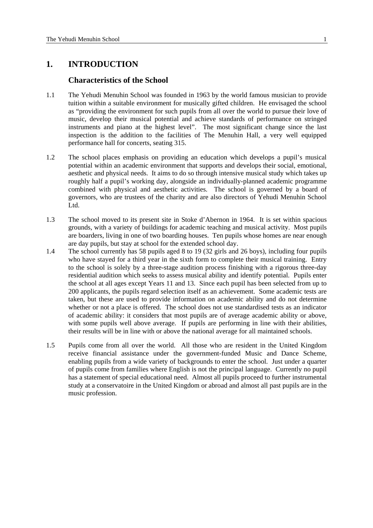# <span id="page-2-0"></span>**1. INTRODUCTION**

#### **Characteristics of the School**

- 1.1 The Yehudi Menuhin School was founded in 1963 by the world famous musician to provide tuition within a suitable environment for musically gifted children. He envisaged the school as "providing the environment for such pupils from all over the world to pursue their love of music, develop their musical potential and achieve standards of performance on stringed instruments and piano at the highest level". The most significant change since the last inspection is the addition to the facilities of The Menuhin Hall, a very well equipped performance hall for concerts, seating 315.
- 1.2 The school places emphasis on providing an education which develops a pupil's musical potential within an academic environment that supports and develops their social, emotional, aesthetic and physical needs. It aims to do so through intensive musical study which takes up roughly half a pupil's working day, alongside an individually-planned academic programme combined with physical and aesthetic activities. The school is governed by a board of governors, who are trustees of the charity and are also directors of Yehudi Menuhin School Ltd.
- 1.3 The school moved to its present site in Stoke d'Abernon in 1964. It is set within spacious grounds, with a variety of buildings for academic teaching and musical activity. Most pupils are boarders, living in one of two boarding houses. Ten pupils whose homes are near enough are day pupils, but stay at school for the extended school day.
- 1.4 The school currently has 58 pupils aged 8 to 19 (32 girls and 26 boys), including four pupils who have stayed for a third year in the sixth form to complete their musical training. Entry to the school is solely by a three-stage audition process finishing with a rigorous three-day residential audition which seeks to assess musical ability and identify potential. Pupils enter the school at all ages except Years 11 and 13. Since each pupil has been selected from up to 200 applicants, the pupils regard selection itself as an achievement. Some academic tests are taken, but these are used to provide information on academic ability and do not determine whether or not a place is offered. The school does not use standardised tests as an indicator of academic ability: it considers that most pupils are of average academic ability or above, with some pupils well above average. If pupils are performing in line with their abilities, their results will be in line with or above the national average for all maintained schools.
- 1.5 Pupils come from all over the world. All those who are resident in the United Kingdom receive financial assistance under the government-funded Music and Dance Scheme, enabling pupils from a wide variety of backgrounds to enter the school. Just under a quarter of pupils come from families where English is not the principal language. Currently no pupil has a statement of special educational need. Almost all pupils proceed to further instrumental study at a conservatoire in the United Kingdom or abroad and almost all past pupils are in the music profession.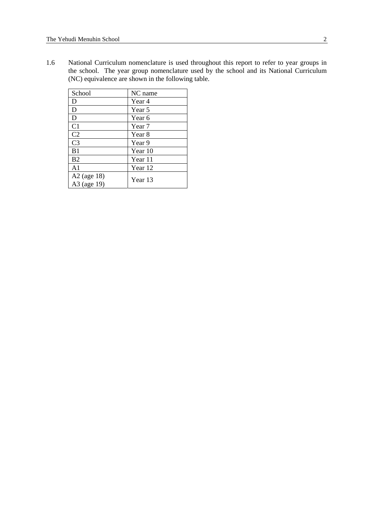1.6 National Curriculum nomenclature is used throughout this report to refer to year groups in the school. The year group nomenclature used by the school and its National Curriculum (NC) equivalence are shown in the following table.

| School                       | NC name           |
|------------------------------|-------------------|
| D                            | Year 4            |
| D                            | Year 5            |
| D                            | Year 6            |
| C <sub>1</sub>               | Year <sub>7</sub> |
| C <sub>2</sub>               | Year 8            |
| C <sub>3</sub>               | Year 9            |
| B1                           | Year 10           |
| B <sub>2</sub>               | Year 11           |
| A <sub>1</sub>               | Year 12           |
| $A2$ (age 18)<br>A3 (age 19) | Year 13           |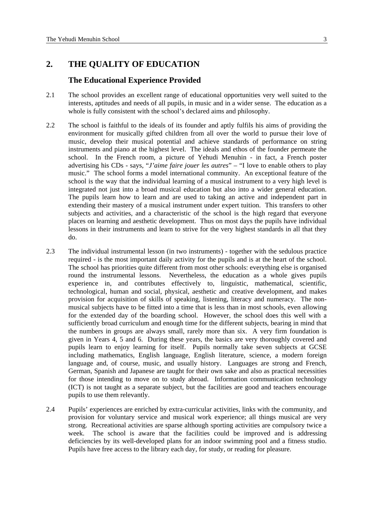# <span id="page-4-0"></span>**2. THE QUALITY OF EDUCATION**

#### **The Educational Experience Provided**

- 2.1 The school provides an excellent range of educational opportunities very well suited to the interests, aptitudes and needs of all pupils, in music and in a wider sense. The education as a whole is fully consistent with the school's declared aims and philosophy.
- 2.2 The school is faithful to the ideals of its founder and aptly fulfils his aims of providing the environment for musically gifted children from all over the world to pursue their love of music, develop their musical potential and achieve standards of performance on string instruments and piano at the highest level. The ideals and ethos of the founder permeate the school. In the French room, a picture of Yehudi Menuhin - in fact, a French poster advertising his CDs - says, "*J'aime faire jouer les autres*" – "I love to enable others to play music." The school forms a model international community. An exceptional feature of the school is the way that the individual learning of a musical instrument to a very high level is integrated not just into a broad musical education but also into a wider general education. The pupils learn how to learn and are used to taking an active and independent part in extending their mastery of a musical instrument under expert tuition. This transfers to other subjects and activities, and a characteristic of the school is the high regard that everyone places on learning and aesthetic development. Thus on most days the pupils have individual lessons in their instruments and learn to strive for the very highest standards in all that they do.
- 2.3 The individual instrumental lesson (in two instruments) together with the sedulous practice required - is the most important daily activity for the pupils and is at the heart of the school. The school has priorities quite different from most other schools: everything else is organised round the instrumental lessons. Nevertheless, the education as a whole gives pupils experience in, and contributes effectively to, linguistic, mathematical, scientific, technological, human and social, physical, aesthetic and creative development, and makes provision for acquisition of skills of speaking, listening, literacy and numeracy. The nonmusical subjects have to be fitted into a time that is less than in most schools, even allowing for the extended day of the boarding school. However, the school does this well with a sufficiently broad curriculum and enough time for the different subjects, bearing in mind that the numbers in groups are always small, rarely more than six. A very firm foundation is given in Years 4, 5 and 6. During these years, the basics are very thoroughly covered and pupils learn to enjoy learning for itself. Pupils normally take seven subjects at GCSE including mathematics, English language, English literature, science, a modern foreign language and, of course, music, and usually history. Languages are strong and French, German, Spanish and Japanese are taught for their own sake and also as practical necessities for those intending to move on to study abroad. Information communication technology (ICT) is not taught as a separate subject, but the facilities are good and teachers encourage pupils to use them relevantly.
- 2.4 Pupils' experiences are enriched by extra-curricular activities, links with the community, and provision for voluntary service and musical work experience; all things musical are very strong. Recreational activities are sparse although sporting activities are compulsory twice a week. The school is aware that the facilities could be improved and is addressing deficiencies by its well-developed plans for an indoor swimming pool and a fitness studio. Pupils have free access to the library each day, for study, or reading for pleasure.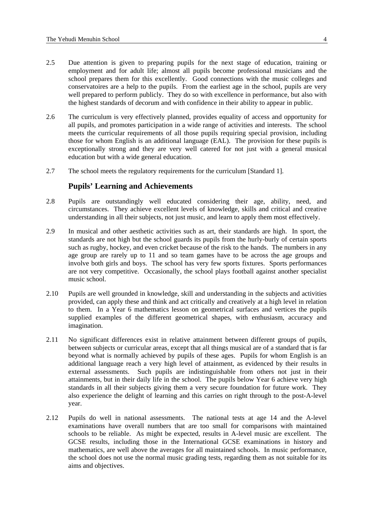- <span id="page-5-0"></span>2.5 Due attention is given to preparing pupils for the next stage of education, training or employment and for adult life; almost all pupils become professional musicians and the school prepares them for this excellently. Good connections with the music colleges and conservatoires are a help to the pupils. From the earliest age in the school, pupils are very well prepared to perform publicly. They do so with excellence in performance, but also with the highest standards of decorum and with confidence in their ability to appear in public.
- 2.6 The curriculum is very effectively planned, provides equality of access and opportunity for all pupils, and promotes participation in a wide range of activities and interests. The school meets the curricular requirements of all those pupils requiring special provision, including those for whom English is an additional language (EAL). The provision for these pupils is exceptionally strong and they are very well catered for not just with a general musical education but with a wide general education.
- 2.7 The school meets the regulatory requirements for the curriculum [Standard 1].

### **Pupils' Learning and Achievements**

- 2.8 Pupils are outstandingly well educated considering their age, ability, need, and circumstances. They achieve excellent levels of knowledge, skills and critical and creative understanding in all their subjects, not just music, and learn to apply them most effectively.
- 2.9 In musical and other aesthetic activities such as art, their standards are high. In sport, the standards are not high but the school guards its pupils from the hurly-burly of certain sports such as rugby, hockey, and even cricket because of the risk to the hands. The numbers in any age group are rarely up to 11 and so team games have to be across the age groups and involve both girls and boys. The school has very few sports fixtures. Sports performances are not very competitive. Occasionally, the school plays football against another specialist music school.
- 2.10 Pupils are well grounded in knowledge, skill and understanding in the subjects and activities provided, can apply these and think and act critically and creatively at a high level in relation to them. In a Year 6 mathematics lesson on geometrical surfaces and vertices the pupils supplied examples of the different geometrical shapes, with enthusiasm, accuracy and imagination.
- 2.11 No significant differences exist in relative attainment between different groups of pupils, between subjects or curricular areas, except that all things musical are of a standard that is far beyond what is normally achieved by pupils of these ages. Pupils for whom English is an additional language reach a very high level of attainment, as evidenced by their results in external assessments. Such pupils are indistinguishable from others not just in their attainments, but in their daily life in the school. The pupils below Year 6 achieve very high standards in all their subjects giving them a very secure foundation for future work. They also experience the delight of learning and this carries on right through to the post-A-level year.
- 2.12 Pupils do well in national assessments. The national tests at age 14 and the A-level examinations have overall numbers that are too small for comparisons with maintained schools to be reliable. As might be expected, results in A-level music are excellent. The GCSE results, including those in the International GCSE examinations in history and mathematics, are well above the averages for all maintained schools. In music performance, the school does not use the normal music grading tests, regarding them as not suitable for its aims and objectives.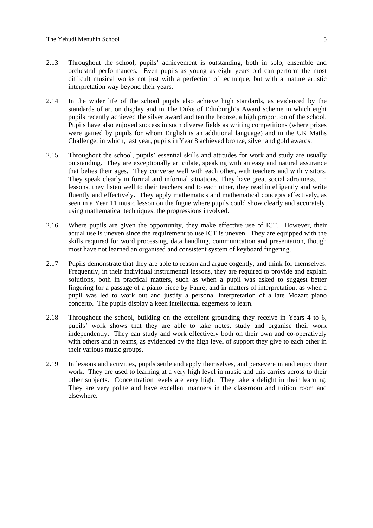- 2.13 Throughout the school, pupils' achievement is outstanding, both in solo, ensemble and orchestral performances. Even pupils as young as eight years old can perform the most difficult musical works not just with a perfection of technique, but with a mature artistic interpretation way beyond their years.
- 2.14 In the wider life of the school pupils also achieve high standards, as evidenced by the standards of art on display and in The Duke of Edinburgh's Award scheme in which eight pupils recently achieved the silver award and ten the bronze, a high proportion of the school. Pupils have also enjoyed success in such diverse fields as writing competitions (where prizes were gained by pupils for whom English is an additional language) and in the UK Maths Challenge, in which, last year, pupils in Year 8 achieved bronze, silver and gold awards.
- 2.15 Throughout the school, pupils' essential skills and attitudes for work and study are usually outstanding. They are exceptionally articulate, speaking with an easy and natural assurance that belies their ages. They converse well with each other, with teachers and with visitors. They speak clearly in formal and informal situations. They have great social adroitness. In lessons, they listen well to their teachers and to each other, they read intelligently and write fluently and effectively. They apply mathematics and mathematical concepts effectively, as seen in a Year 11 music lesson on the fugue where pupils could show clearly and accurately, using mathematical techniques, the progressions involved.
- 2.16 Where pupils are given the opportunity, they make effective use of ICT. However, their actual use is uneven since the requirement to use ICT is uneven. They are equipped with the skills required for word processing, data handling, communication and presentation, though most have not learned an organised and consistent system of keyboard fingering.
- 2.17 Pupils demonstrate that they are able to reason and argue cogently, and think for themselves. Frequently, in their individual instrumental lessons, they are required to provide and explain solutions, both in practical matters, such as when a pupil was asked to suggest better fingering for a passage of a piano piece by Fauré; and in matters of interpretation, as when a pupil was led to work out and justify a personal interpretation of a late Mozart piano concerto. The pupils display a keen intellectual eagerness to learn.
- 2.18 Throughout the school, building on the excellent grounding they receive in Years 4 to 6, pupils' work shows that they are able to take notes, study and organise their work independently. They can study and work effectively both on their own and co-operatively with others and in teams, as evidenced by the high level of support they give to each other in their various music groups.
- 2.19 In lessons and activities, pupils settle and apply themselves, and persevere in and enjoy their work. They are used to learning at a very high level in music and this carries across to their other subjects. Concentration levels are very high. They take a delight in their learning. They are very polite and have excellent manners in the classroom and tuition room and elsewhere.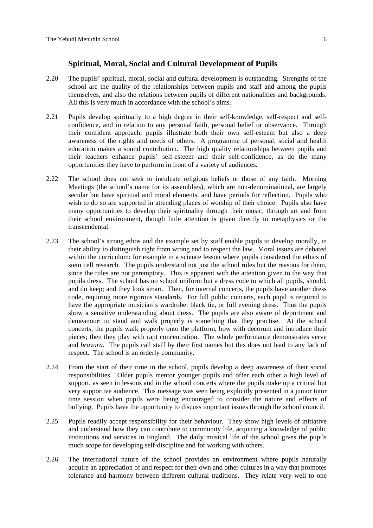#### **Spiritual, Moral, Social and Cultural Development of Pupils**

- <span id="page-7-0"></span>2.20 The pupils' spiritual, moral, social and cultural development is outstanding. Strengths of the school are the quality of the relationships between pupils and staff and among the pupils themselves, and also the relations between pupils of different nationalities and backgrounds. All this is very much in accordance with the school's aims.
- 2.21 Pupils develop spiritually to a high degree in their self-knowledge, self-respect and selfconfidence, and in relation to any personal faith, personal belief or observance. Through their confident approach, pupils illustrate both their own self-esteem but also a deep awareness of the rights and needs of others. A programme of personal, social and health education makes a sound contribution. The high quality relationships between pupils and their teachers enhance pupils' self-esteem and their self-confidence, as do the many opportunities they have to perform in front of a variety of audiences.
- 2.22 The school does not seek to inculcate religious beliefs or those of any faith. Morning Meetings (the school's name for its assemblies), which are non-denominational, are largely secular but have spiritual and moral elements, and have periods for reflection. Pupils who wish to do so are supported in attending places of worship of their choice. Pupils also have many opportunities to develop their spirituality through their music, through art and from their school environment, though little attention is given directly to metaphysics or the transcendental.
- 2.23 The school's strong ethos and the example set by staff enable pupils to develop morally, in their ability to distinguish right from wrong and to respect the law. Moral issues are debated within the curriculum: for example in a science lesson where pupils considered the ethics of stem cell research. The pupils understand not just the school rules but the reasons for them, since the rules are not peremptory. This is apparent with the attention given to the way that pupils dress. The school has no school uniform but a dress code to which all pupils, should, and do keep; and they look smart. Then, for internal concerts, the pupils have another dress code, requiring more rigorous standards. For full public concerts, each pupil is required to have the appropriate musician's wardrobe: black tie, or full evening dress. Thus the pupils show a sensitive understanding about dress. The pupils are also aware of deportment and demeanour: to stand and walk properly is something that they practise. At the school concerts, the pupils walk properly onto the platform, bow with decorum and introduce their pieces; then they play with rapt concentration. The whole performance demonstrates verve and *bravura.* The pupils call staff by their first names but this does not lead to any lack of respect. The school is an orderly community.
- 2.24 From the start of their time in the school, pupils develop a deep awareness of their social responsibilities. Older pupils mentor younger pupils and offer each other a high level of support, as seen in lessons and in the school concerts where the pupils make up a critical but very supportive audience. This message was seen being explicitly presented in a junior tutor time session when pupils were being encouraged to consider the nature and effects of bullying. Pupils have the opportunity to discuss important issues through the school council.
- 2.25 Pupils readily accept responsibility for their behaviour. They show high levels of initiative and understand how they can contribute to community life, acquiring a knowledge of public institutions and services in England. The daily musical life of the school gives the pupils much scope for developing self-discipline and for working with others.
- 2.26 The international nature of the school provides an environment where pupils naturally acquire an appreciation of and respect for their own and other cultures in a way that promotes tolerance and harmony between different cultural traditions. They relate very well to one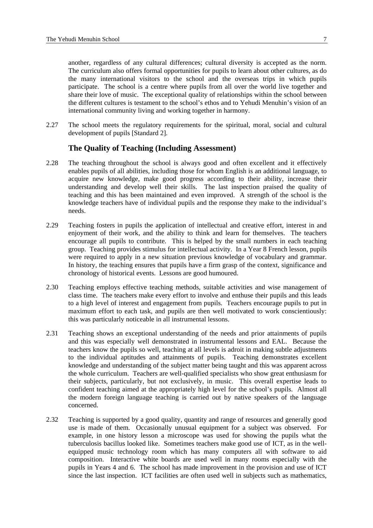<span id="page-8-0"></span>another, regardless of any cultural differences; cultural diversity is accepted as the norm. The curriculum also offers formal opportunities for pupils to learn about other cultures, as do the many international visitors to the school and the overseas trips in which pupils participate. The school is a centre where pupils from all over the world live together and share their love of music. The exceptional quality of relationships within the school between the different cultures is testament to the school's ethos and to Yehudi Menuhin's vision of an international community living and working together in harmony.

2.27 The school meets the regulatory requirements for the spiritual, moral, social and cultural development of pupils [Standard 2].

## **The Quality of Teaching (Including Assessment)**

- 2.28 The teaching throughout the school is always good and often excellent and it effectively enables pupils of all abilities, including those for whom English is an additional language, to acquire new knowledge, make good progress according to their ability, increase their understanding and develop well their skills. The last inspection praised the quality of teaching and this has been maintained and even improved. A strength of the school is the knowledge teachers have of individual pupils and the response they make to the individual's needs.
- 2.29 Teaching fosters in pupils the application of intellectual and creative effort, interest in and enjoyment of their work, and the ability to think and learn for themselves. The teachers encourage all pupils to contribute. This is helped by the small numbers in each teaching group. Teaching provides stimulus for intellectual activity. In a Year 8 French lesson, pupils were required to apply in a new situation previous knowledge of vocabulary and grammar. In history, the teaching ensures that pupils have a firm grasp of the context, significance and chronology of historical events. Lessons are good humoured.
- 2.30 Teaching employs effective teaching methods, suitable activities and wise management of class time. The teachers make every effort to involve and enthuse their pupils and this leads to a high level of interest and engagement from pupils. Teachers encourage pupils to put in maximum effort to each task, and pupils are then well motivated to work conscientiously: this was particularly noticeable in all instrumental lessons.
- 2.31 Teaching shows an exceptional understanding of the needs and prior attainments of pupils and this was especially well demonstrated in instrumental lessons and EAL. Because the teachers know the pupils so well, teaching at all levels is adroit in making subtle adjustments to the individual aptitudes and attainments of pupils. Teaching demonstrates excellent knowledge and understanding of the subject matter being taught and this was apparent across the whole curriculum. Teachers are well-qualified specialists who show great enthusiasm for their subjects, particularly, but not exclusively, in music. This overall expertise leads to confident teaching aimed at the appropriately high level for the school's pupils. Almost all the modern foreign language teaching is carried out by native speakers of the language concerned.
- 2.32 Teaching is supported by a good quality, quantity and range of resources and generally good use is made of them. Occasionally unusual equipment for a subject was observed. For example, in one history lesson a microscope was used for showing the pupils what the tuberculosis bacillus looked like. Sometimes teachers make good use of ICT, as in the wellequipped music technology room which has many computers all with software to aid composition. Interactive white boards are used well in many rooms especially with the pupils in Years 4 and 6. The school has made improvement in the provision and use of ICT since the last inspection. ICT facilities are often used well in subjects such as mathematics,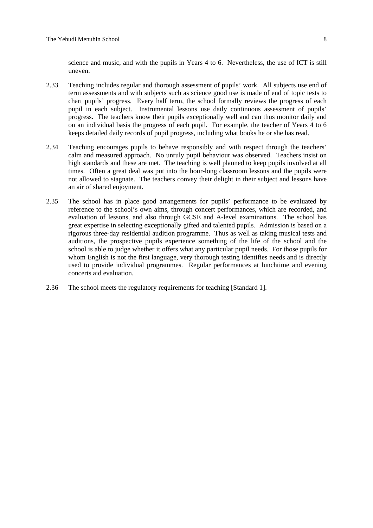science and music, and with the pupils in Years 4 to 6. Nevertheless, the use of ICT is still uneven.

- 2.33 Teaching includes regular and thorough assessment of pupils' work. All subjects use end of term assessments and with subjects such as science good use is made of end of topic tests to chart pupils' progress. Every half term, the school formally reviews the progress of each pupil in each subject. Instrumental lessons use daily continuous assessment of pupils' progress. The teachers know their pupils exceptionally well and can thus monitor daily and on an individual basis the progress of each pupil. For example, the teacher of Years 4 to 6 keeps detailed daily records of pupil progress, including what books he or she has read.
- 2.34 Teaching encourages pupils to behave responsibly and with respect through the teachers' calm and measured approach. No unruly pupil behaviour was observed. Teachers insist on high standards and these are met. The teaching is well planned to keep pupils involved at all times. Often a great deal was put into the hour-long classroom lessons and the pupils were not allowed to stagnate. The teachers convey their delight in their subject and lessons have an air of shared enjoyment.
- 2.35 The school has in place good arrangements for pupils' performance to be evaluated by reference to the school's own aims, through concert performances, which are recorded, and evaluation of lessons, and also through GCSE and A-level examinations. The school has great expertise in selecting exceptionally gifted and talented pupils. Admission is based on a rigorous three-day residential audition programme. Thus as well as taking musical tests and auditions, the prospective pupils experience something of the life of the school and the school is able to judge whether it offers what any particular pupil needs. For those pupils for whom English is not the first language, very thorough testing identifies needs and is directly used to provide individual programmes. Regular performances at lunchtime and evening concerts aid evaluation.
- 2.36 The school meets the regulatory requirements for teaching [Standard 1].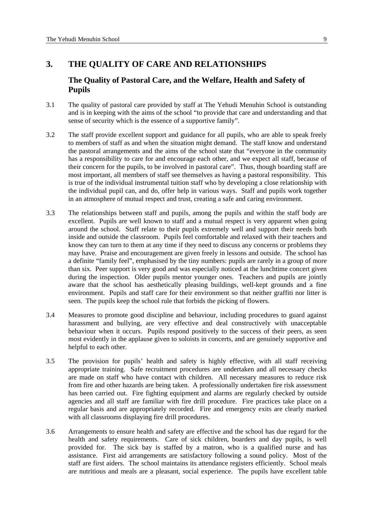# <span id="page-10-0"></span>**3. THE QUALITY OF CARE AND RELATIONSHIPS**

# **The Quality of Pastoral Care, and the Welfare, Health and Safety of Pupils**

- 3.1 The quality of pastoral care provided by staff at The Yehudi Menuhin School is outstanding and is in keeping with the aims of the school "to provide that care and understanding and that sense of security which is the essence of a supportive family".
- 3.2 The staff provide excellent support and guidance for all pupils, who are able to speak freely to members of staff as and when the situation might demand. The staff know and understand the pastoral arrangements and the aims of the school state that "everyone in the community has a responsibility to care for and encourage each other, and we expect all staff, because of their concern for the pupils, to be involved in pastoral care". Thus, though boarding staff are most important, all members of staff see themselves as having a pastoral responsibility. This is true of the individual instrumental tuition staff who by developing a close relationship with the individual pupil can, and do, offer help in various ways. Staff and pupils work together in an atmosphere of mutual respect and trust, creating a safe and caring environment.
- 3.3 The relationships between staff and pupils, among the pupils and within the staff body are excellent. Pupils are well known to staff and a mutual respect is very apparent when going around the school. Staff relate to their pupils extremely well and support their needs both inside and outside the classroom. Pupils feel comfortable and relaxed with their teachers and know they can turn to them at any time if they need to discuss any concerns or problems they may have. Praise and encouragement are given freely in lessons and outside. The school has a definite "family feel", emphasised by the tiny numbers: pupils are rarely in a group of more than six. Peer support is very good and was especially noticed at the lunchtime concert given during the inspection. Older pupils mentor younger ones. Teachers and pupils are jointly aware that the school has aesthetically pleasing buildings, well-kept grounds and a fine environment. Pupils and staff care for their environment so that neither graffiti nor litter is seen. The pupils keep the school rule that forbids the picking of flowers.
- 3.4 Measures to promote good discipline and behaviour, including procedures to guard against harassment and bullying, are very effective and deal constructively with unacceptable behaviour when it occurs. Pupils respond positively to the success of their peers, as seen most evidently in the applause given to soloists in concerts, and are genuinely supportive and helpful to each other.
- 3.5 The provision for pupils' health and safety is highly effective, with all staff receiving appropriate training. Safe recruitment procedures are undertaken and all necessary checks are made on staff who have contact with children. All necessary measures to reduce risk from fire and other hazards are being taken. A professionally undertaken fire risk assessment has been carried out. Fire fighting equipment and alarms are regularly checked by outside agencies and all staff are familiar with fire drill procedure. Fire practices take place on a regular basis and are appropriately recorded. Fire and emergency exits are clearly marked with all classrooms displaying fire drill procedures.
- 3.6 Arrangements to ensure health and safety are effective and the school has due regard for the health and safety requirements. Care of sick children, boarders and day pupils, is well provided for. The sick bay is staffed by a matron, who is a qualified nurse and has assistance. First aid arrangements are satisfactory following a sound policy. Most of the staff are first aiders. The school maintains its attendance registers efficiently. School meals are nutritious and meals are a pleasant, social experience. The pupils have excellent table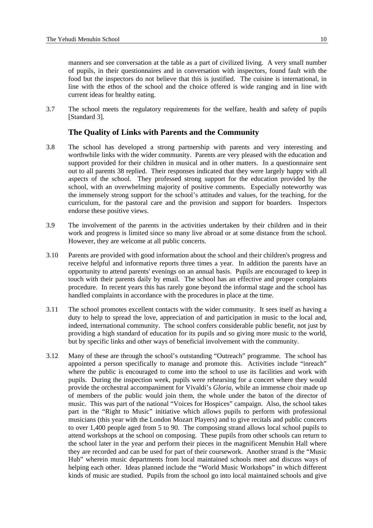<span id="page-11-0"></span>manners and see conversation at the table as a part of civilized living. A very small number of pupils, in their questionnaires and in conversation with inspectors, found fault with the food but the inspectors do not believe that this is justified. The cuisine is international, in line with the ethos of the school and the choice offered is wide ranging and in line with current ideas for healthy eating.

3.7 The school meets the regulatory requirements for the welfare, health and safety of pupils [Standard 3].

#### **The Quality of Links with Parents and the Community**

- 3.8 The school has developed a strong partnership with parents and very interesting and worthwhile links with the wider community. Parents are very pleased with the education and support provided for their children in musical and in other matters. In a questionnaire sent out to all parents 38 replied. Their responses indicated that they were largely happy with all aspects of the school. They professed strong support for the education provided by the school, with an overwhelming majority of positive comments. Especially noteworthy was the immensely strong support for the school's attitudes and values, for the teaching, for the curriculum, for the pastoral care and the provision and support for boarders. Inspectors endorse these positive views.
- 3.9 The involvement of the parents in the activities undertaken by their children and in their work and progress is limited since so many live abroad or at some distance from the school. However, they are welcome at all public concerts.
- 3.10 Parents are provided with good information about the school and their children's progress and receive helpful and informative reports three times a year. In addition the parents have an opportunity to attend parents' evenings on an annual basis. Pupils are encouraged to keep in touch with their parents daily by email. The school has an effective and proper complaints procedure. In recent years this has rarely gone beyond the informal stage and the school has handled complaints in accordance with the procedures in place at the time.
- 3.11 The school promotes excellent contacts with the wider community. It sees itself as having a duty to help to spread the love, appreciation of and participation in music to the local and, indeed, international community. The school confers considerable public benefit, not just by providing a high standard of education for its pupils and so giving more music to the world, but by specific links and other ways of beneficial involvement with the community.
- 3.12 Many of these are through the school's outstanding "Outreach" programme. The school has appointed a person specifically to manage and promote this. Activities include "inreach" where the public is encouraged to come into the school to use its facilities and work with pupils. During the inspection week, pupils were rehearsing for a concert where they would provide the orchestral accompaniment for Vivaldi's *Gloria*, while an immense choir made up of members of the public would join them, the whole under the baton of the director of music. This was part of the national "Voices for Hospices" campaign. Also, the school takes part in the "Right to Music" initiative which allows pupils to perform with professional musicians (this year with the London Mozart Players) and to give recitals and public concerts to over 1,400 people aged from 5 to 90. The composing strand allows local school pupils to attend workshops at the school on composing. These pupils from other schools can return to the school later in the year and perform their pieces in the magnificent Menuhin Hall where they are recorded and can be used for part of their coursework. Another strand is the "Music Hub" wherein music departments from local maintained schools meet and discuss ways of helping each other. Ideas planned include the "World Music Workshops" in which different kinds of music are studied. Pupils from the school go into local maintained schools and give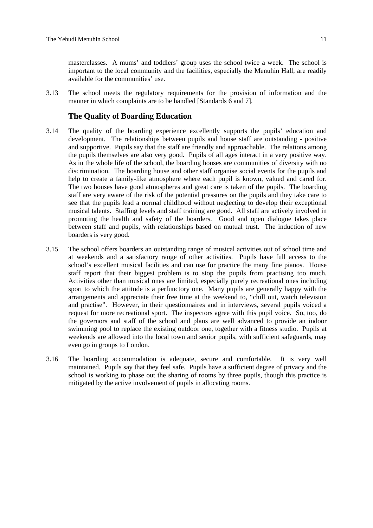<span id="page-12-0"></span>masterclasses. A mums' and toddlers' group uses the school twice a week. The school is important to the local community and the facilities, especially the Menuhin Hall, are readily available for the communities' use.

3.13 The school meets the regulatory requirements for the provision of information and the manner in which complaints are to be handled [Standards 6 and 7].

#### **The Quality of Boarding Education**

- 3.14 The quality of the boarding experience excellently supports the pupils' education and development. The relationships between pupils and house staff are outstanding - positive and supportive. Pupils say that the staff are friendly and approachable. The relations among the pupils themselves are also very good. Pupils of all ages interact in a very positive way. As in the whole life of the school, the boarding houses are communities of diversity with no discrimination. The boarding house and other staff organise social events for the pupils and help to create a family-like atmosphere where each pupil is known, valued and cared for. The two houses have good atmospheres and great care is taken of the pupils. The boarding staff are very aware of the risk of the potential pressures on the pupils and they take care to see that the pupils lead a normal childhood without neglecting to develop their exceptional musical talents. Staffing levels and staff training are good. All staff are actively involved in promoting the health and safety of the boarders. Good and open dialogue takes place between staff and pupils, with relationships based on mutual trust. The induction of new boarders is very good.
- 3.15 The school offers boarders an outstanding range of musical activities out of school time and at weekends and a satisfactory range of other activities. Pupils have full access to the school's excellent musical facilities and can use for practice the many fine pianos. House staff report that their biggest problem is to stop the pupils from practising too much. Activities other than musical ones are limited, especially purely recreational ones including sport to which the attitude is a perfunctory one. Many pupils are generally happy with the arrangements and appreciate their free time at the weekend to, "chill out, watch television and practise". However, in their questionnaires and in interviews, several pupils voiced a request for more recreational sport. The inspectors agree with this pupil voice. So, too, do the governors and staff of the school and plans are well advanced to provide an indoor swimming pool to replace the existing outdoor one, together with a fitness studio. Pupils at weekends are allowed into the local town and senior pupils, with sufficient safeguards, may even go in groups to London.
- 3.16 The boarding accommodation is adequate, secure and comfortable. It is very well maintained. Pupils say that they feel safe. Pupils have a sufficient degree of privacy and the school is working to phase out the sharing of rooms by three pupils, though this practice is mitigated by the active involvement of pupils in allocating rooms.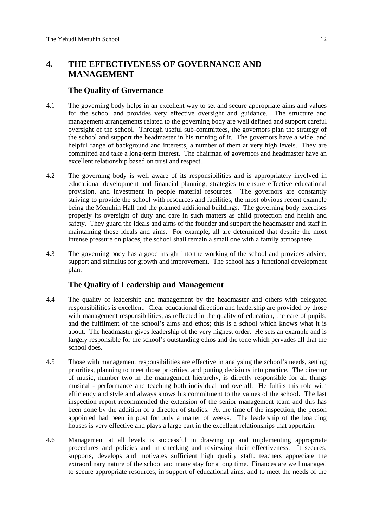# <span id="page-13-0"></span>**4. THE EFFECTIVENESS OF GOVERNANCE AND MANAGEMENT**

#### **The Quality of Governance**

- 4.1 The governing body helps in an excellent way to set and secure appropriate aims and values for the school and provides very effective oversight and guidance. The structure and management arrangements related to the governing body are well defined and support careful oversight of the school. Through useful sub-committees, the governors plan the strategy of the school and support the headmaster in his running of it. The governors have a wide, and helpful range of background and interests, a number of them at very high levels. They are committed and take a long-term interest. The chairman of governors and headmaster have an excellent relationship based on trust and respect.
- 4.2 The governing body is well aware of its responsibilities and is appropriately involved in educational development and financial planning, strategies to ensure effective educational provision, and investment in people material resources. The governors are constantly striving to provide the school with resources and facilities, the most obvious recent example being the Menuhin Hall and the planned additional buildings. The governing body exercises properly its oversight of duty and care in such matters as child protection and health and safety. They guard the ideals and aims of the founder and support the headmaster and staff in maintaining those ideals and aims. For example, all are determined that despite the most intense pressure on places, the school shall remain a small one with a family atmosphere.
- 4.3 The governing body has a good insight into the working of the school and provides advice, support and stimulus for growth and improvement. The school has a functional development plan.

### **The Quality of Leadership and Management**

- 4.4 The quality of leadership and management by the headmaster and others with delegated responsibilities is excellent. Clear educational direction and leadership are provided by those with management responsibilities, as reflected in the quality of education, the care of pupils, and the fulfilment of the school's aims and ethos; this is a school which knows what it is about. The headmaster gives leadership of the very highest order. He sets an example and is largely responsible for the school's outstanding ethos and the tone which pervades all that the school does.
- 4.5 Those with management responsibilities are effective in analysing the school's needs, setting priorities, planning to meet those priorities, and putting decisions into practice. The director of music, number two in the management hierarchy, is directly responsible for all things musical - performance and teaching both individual and overall. He fulfils this role with efficiency and style and always shows his commitment to the values of the school. The last inspection report recommended the extension of the senior management team and this has been done by the addition of a director of studies. At the time of the inspection, the person appointed had been in post for only a matter of weeks. The leadership of the boarding houses is very effective and plays a large part in the excellent relationships that appertain.
- 4.6 Management at all levels is successful in drawing up and implementing appropriate procedures and policies and in checking and reviewing their effectiveness. It secures, supports, develops and motivates sufficient high quality staff: teachers appreciate the extraordinary nature of the school and many stay for a long time. Finances are well managed to secure appropriate resources, in support of educational aims, and to meet the needs of the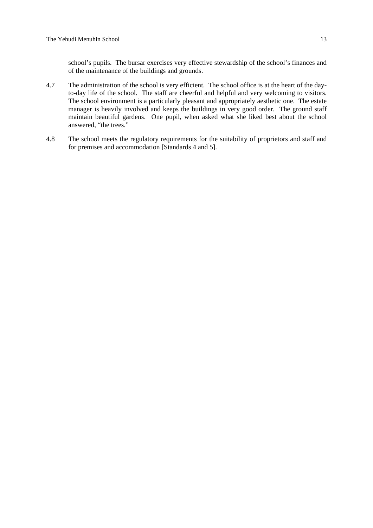school's pupils. The bursar exercises very effective stewardship of the school's finances and of the maintenance of the buildings and grounds.

- 4.7 The administration of the school is very efficient. The school office is at the heart of the dayto-day life of the school. The staff are cheerful and helpful and very welcoming to visitors. The school environment is a particularly pleasant and appropriately aesthetic one. The estate manager is heavily involved and keeps the buildings in very good order. The ground staff maintain beautiful gardens. One pupil, when asked what she liked best about the school answered, "the trees."
- 4.8 The school meets the regulatory requirements for the suitability of proprietors and staff and for premises and accommodation [Standards 4 and 5].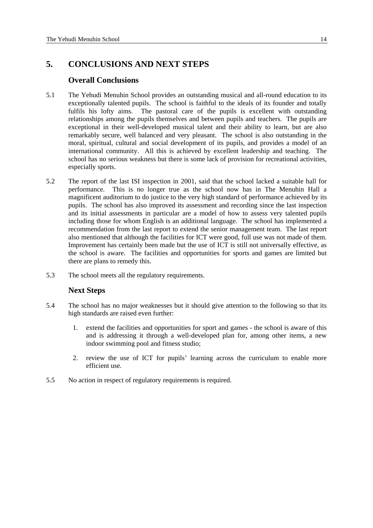# <span id="page-15-0"></span>**5. CONCLUSIONS AND NEXT STEPS**

### **Overall Conclusions**

- 5.1 The Yehudi Menuhin School provides an outstanding musical and all-round education to its exceptionally talented pupils. The school is faithful to the ideals of its founder and totally fulfils his lofty aims. The pastoral care of the pupils is excellent with outstanding relationships among the pupils themselves and between pupils and teachers. The pupils are exceptional in their well-developed musical talent and their ability to learn, but are also remarkably secure, well balanced and very pleasant. The school is also outstanding in the moral, spiritual, cultural and social development of its pupils, and provides a model of an international community. All this is achieved by excellent leadership and teaching. The school has no serious weakness but there is some lack of provision for recreational activities, especially sports.
- 5.2 The report of the last ISI inspection in 2001, said that the school lacked a suitable hall for performance. This is no longer true as the school now has in The Menuhin Hall a magnificent auditorium to do justice to the very high standard of performance achieved by its pupils. The school has also improved its assessment and recording since the last inspection and its initial assessments in particular are a model of how to assess very talented pupils including those for whom English is an additional language. The school has implemented a recommendation from the last report to extend the senior management team. The last report also mentioned that although the facilities for ICT were good, full use was not made of them. Improvement has certainly been made but the use of ICT is still not universally effective, as the school is aware. The facilities and opportunities for sports and games are limited but there are plans to remedy this.
- 5.3 The school meets all the regulatory requirements.

### **Next Steps**

- 5.4 The school has no major weaknesses but it should give attention to the following so that its high standards are raised even further:
	- 1. extend the facilities and opportunities for sport and games the school is aware of this and is addressing it through a well-developed plan for, among other items, a new indoor swimming pool and fitness studio;
	- 2. review the use of ICT for pupils' learning across the curriculum to enable more efficient use.
- 5.5 No action in respect of regulatory requirements is required.